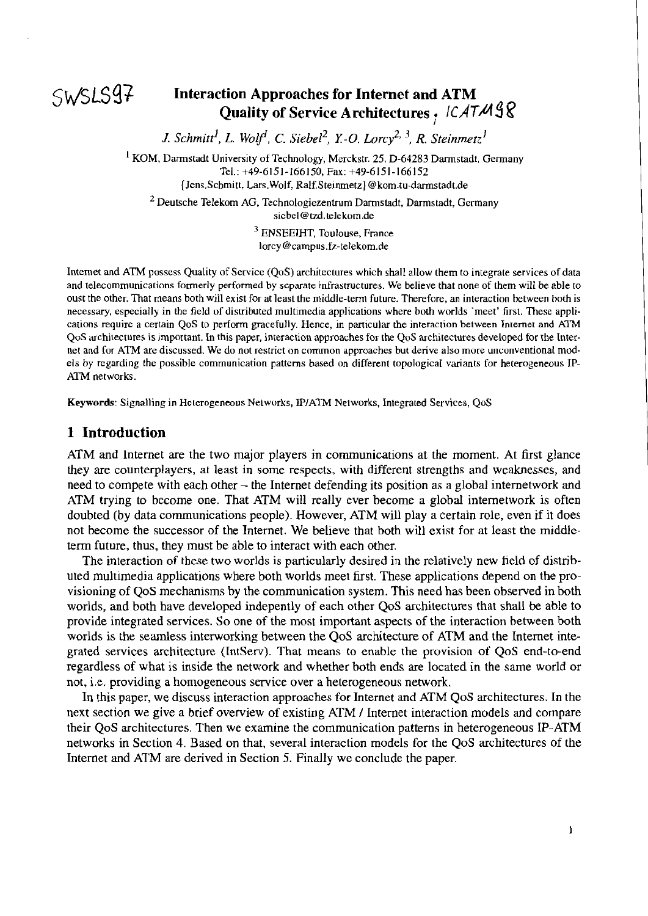# $SWSLS97$  Interaction Approaches for Internet and ATM **Quality of Service Architectures , ICATMSR**

J. Schmitt<sup>1</sup>, L. Wolf<sup>1</sup>, C. Siebel<sup>2</sup>, Y.-O. Lorcy<sup>2, 3</sup>, R. Steinmetz<sup>1</sup>

<sup>1</sup> KOM, Darmstadt University of Technology, Merckstr. 25, D-64283 Darmstadt, Germany Tel.: +49-6151-166150, Fax: +49-6151-166152 [Jens.Schmitt, Lars.Wolf, Ralf.Steinmetz]@kom.tu.dannstadt.de

<sup>2</sup> Deutsche Telekom AG, Technologiezentrum Darmstadt, Darmstadt, Germany sicbel@tzd.telekom.de

> <sup>3</sup> ENSEEIHT, Toulouse, France lorcy @campus.fz-telekom.de

Intemet and ATM possess Quality of Service (QoS) architectures which shall allow them to integrale services of data and telecommunications formerly performed by separate infrastructures. We believe that none of them will be able to oust the other. That means both will exist for at least the middle-term future. Therefore, an interaction between both is necessary. especially in the field of dismibuted multimedia applications where both worlds 'meet' first. These applications require a certain QoS to perform gracefully. Hence, in panicular the interaction between Interner and **Am**  QoS ischiiectures is important. In this paper, interaction approaches for the QoS architectures developed for the Internet and for ATM are discussed. We do not restrict on common approaches but derive also more unconventional models by regarding the possible communication patterns based on different topological variants for heterogeneous IP-ATM networks.

Keywords: Signalling in Heterogeneous Networks, IP/ATM Networks, Integrated Services, QoS

### **1 Introduction**

ATM and Intemet are the two major players in communications at the moment. At first glance they are counterplayers, **at** least in some respects, with different strengths and weaknesses, and need to compete with each other – the Internet defending its position as a global internetwork and ATM trying to become one. That ATM will really ever become a global intemetwork is often doubted (by data comrnunications people). However, ATM will play a certain role, even if it does not become the successor of the Internet. We believe that both will exist for at least the middleterm future, thus, they must be able to interact with each other.

The interaction of these two worlds is particularly desired in the relatively new field of distributed multimedia applications where both worlds meet first. These applications depend on the provisioning of QoS mechanisms by the communication system. This need has been observed in both worlds, and both have developed indepently of each other QoS architectures that shall **be** able to provide integrated services. So one of the most important aspects of the interaction between both worlds is the seamless interworking between the QoS architecture of ATM and the Intemet integrated services architecture (IntServ). That means to enable the provision of QoS end-to-end regardless of what is inside the network and whether both ends are located in the same world or not, i.e. providing a homogeneous service over a heterogeneous network.

In this paper, we discuss interaction approaches for Internet and ATM QoS architectures. In the next section we give a brief overview of existing ATM / Internet interaction models and compare their QoS architectures. Then we examine the communication pattems in heterogeneous IP-ATM networks in Section 4. Based on that. several interaction models for the QoS architectures of the Internet and ATM are derived in Section 5. Finally we conclude the paper.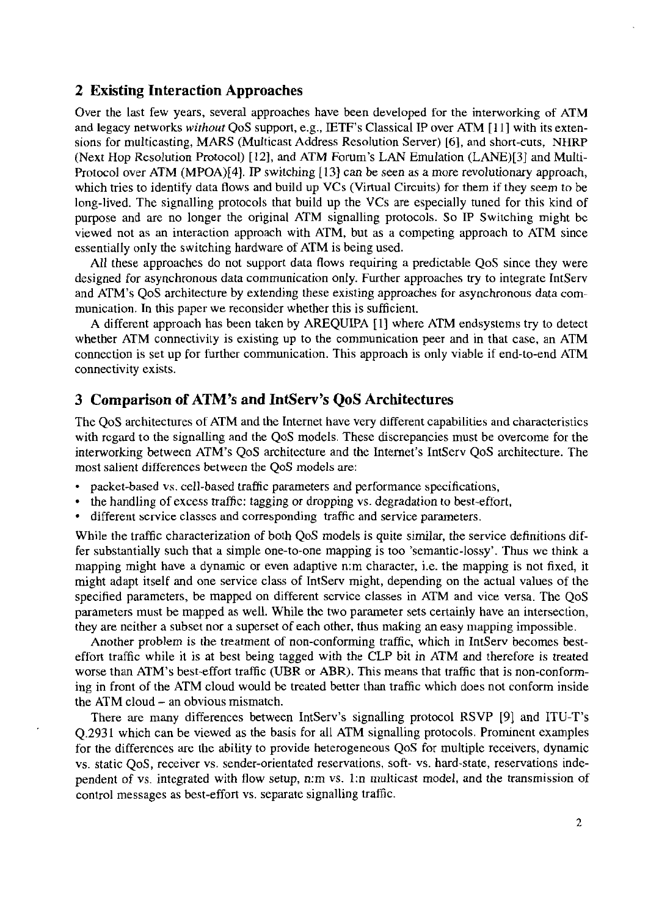#### **2 Existing Interaction Approaches**

Over the last few years, several approaches have been developed for the interworking of ATM and legacy networks *without* QoS support, e.g., IETF's Classical IP over ATM [11] with its extensions for multicasting, MARS (Multicast Address Resolution Server) *[6],* and short-cuts, NHRP (Next Hop Resolution Protocol) [12], and ATM Forum's LAN Emulation (LANE)[3] and Multi-Protocol over ATM (MPOA)[4]. IP switching **[13]** can **be** seen as a more revolutionary approach, which tries to identify data flows and build up VCs (Virtual Circuits) for them if they seem to be long-lived. The signalling protocols that build up the VCs are especially tuned for this kind of purpose and are no longer the original ATM signalling protocols. So IP Switching might bc viewed not as an interaction approach with ATM, but as a competing approach to ATM since essentially only the switching hardware of ATM is being used.

All these approaches do not support data flows requiring a predictable QoS since they were designed for asynchronous data communication only. Further approaches try to integrate IntServ and ATM's QoS architecture by extending these existing approaches for asynchronous data communication. In this paper we reconsider whether this is sufficient.

A different approach has been taken by AREQUIPA [I] where ATM endsystems try to detect whether ATM connectivity is existing up to the communication peer and in that case, an ATM connection is set up for further cornmunication. This approach is only viable if end-to-end ATM connectivity exists.

## **3 Comparison of ATM's and IntServ's QoS Architectures**

The QoS architectures of ATM and the Internet have very different capabilities and characteristics with regard to the signalling and the QoS models. These discrepancies must be overcome for the interworking between ATM's QoS architecture and the Internet's IntServ QoS architecture. The most salient differences between the QoS models are:

- packet-based vs. cell-based traffic parameters and performance specifications,
- the handling of excess traffic: tagging or dropping vs. degradation to best-effort,
- different service classcs and corresponding traffic and service parameters.

While the traffic characterization of both QoS models is quite similar, the service definitions differ substantially such that a simple one-to-one mapping is too 'semantic-lossy'. Thus we think a mapping might have a dynamic or even adaptive n:m character, i.e. the mapping is not fixed, it might adapt itself and one service class of IntServ might, depending on the actual values of the specified parameters, be mapped on different service classes in ATM and vice versa. The QoS parameters must be mapped as well. While the two parameter sets certainly have an intersection, they are neither a subset nor a superset of each other, thus making an easy mapping impossible.

Another problem is the treatment of non-conforming traffic, which in IntServ becomes besteffort traffic while it is at best being tagged with the CLP bit in ATM and therefore is treated worse than ATM's best-effort traffic **(UBR** or ABR). This means that traffic that is non-conforming in front of the ATM cloud would be treated better than traffic which does not conform inside the  $ATM$  cloud  $-$  an obvious mismatch.

There are many differences between IntServ's signalling protocol RSVP [9] and ITU-T's Q.2931 which can be viewed as the basis for all ATM signalling protocols. Prominent examples for the differences are the ability to provide heterogeneous QoS for multiple receivers, dynamic vs. static QoS, receiver vs. sender-orientated reservations, soft- vs. hard-state, reservations independent of vs. integrated with flow setup, n:m vs. 1:n multicast model, and the transmission of control messages as best-effort vs. separate signalling traffic.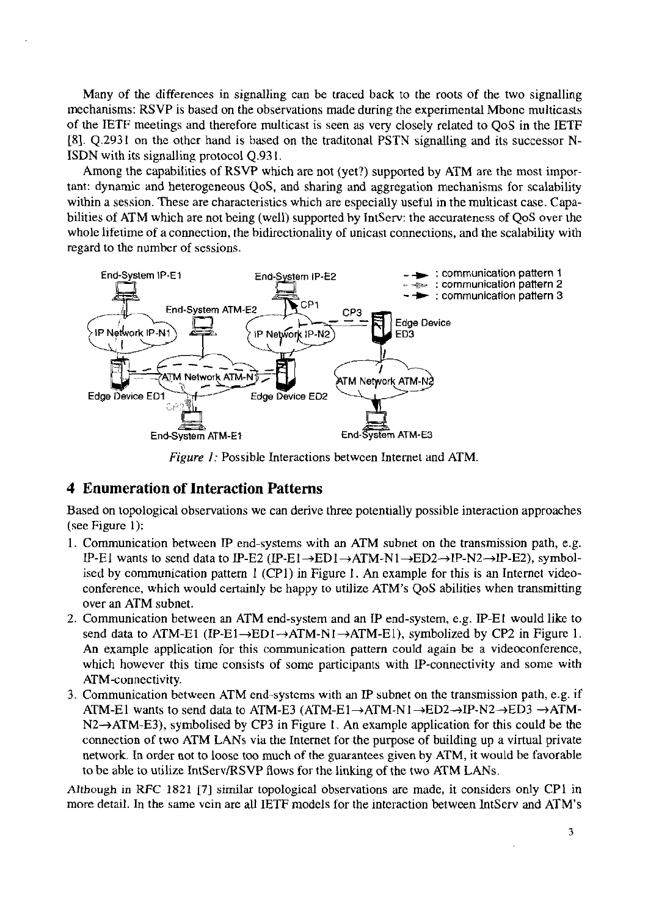Many of the differences in signalling can be traced back to the roots of the two signalling mechanisms: RSVP is based on the observations made during the experimental Mbonc multicasts of the IETF meetings and therefore rnulticast is seen **as** very closely related to QoS in the IETF **[8].** 4.2931 on the othcr hand is based on the traditonal PSTN signalling and its successor N-ISDN with its signalling protocol Q.931.

Among the capabilities of RSVP which are not (yet?) supported by ATM are the most important: dynamic and heterogeneous QoS, and sharing and aggregation mechanisms for scalability within a session. These are characteristics which are especially useful in the multicast case. Capabilities of ATM which are not being (well) supported hy IntServ: the accurateness of QoS over ihe whole lifetime of a connection, the bidirectionality of unicast connections, and the scalability with regard to the number of sessions.



Figure 1: Possible Interactions between Internet and ATM.

## **4 Enumeration of Interaction Patterns**

Based on topological observations we can derive three potentiaily possible interaction approaches (see Figure 1):

- 1. Communication between IP end-systems with an ATM subnet on the transmission path, e.g. IP-E1 wants to send data to IP-E2 (IP-E1 $\rightarrow$ ED1 $\rightarrow$ ATM-N1 $\rightarrow$ ED2 $\rightarrow$ IP-N2 $\rightarrow$ IP-E2), symbolised by communication pattem 1 (CPI) in Figure I. An example for this is an Internet videoconference, wbich would certainly be happy to utilize ATM's QoS abilities when transmitting over an ATM subnet.
- 2. Communication between an ATM end-systern and an IP end-system, e.g. IP-E1 would like to send data to ATM-E1 (IP-E1 $\rightarrow$ ED1 $\rightarrow$ ATM-N1 $\rightarrow$ ATM-E1), symbolized by CP2 in Figure 1. An example application for this communication pattern could again be a videoconference, which however this time consists of some participants with IP-connectivity and some with ATM-connectivity.
- 3. Communication between ATM end-systems with an IP subnet on the transmission path, e.g. if ATM-E1 wants to send data to ATM-E3 (ATM-E1 $\rightarrow$ ATM-N1 $\rightarrow$ ED2 $\rightarrow$ IP-N2 $\rightarrow$ ED3  $\rightarrow$ ATM- $N2 \rightarrow ATM-E3$ , symbolised by CP3 in Figure 1. An example application for this could be the connection of two ATM LANs via the Intemet for the purpose of building up a virtual private network. In order not to loose too much of the guarantees given by ATM, it would be favorable tobe able to utilize IntServRSVP flows for the linking of the two ATM LANs.

**Although** in RFC **1821** [7] similar topological observations are made, it considers only CP1 in more detail. In the same vcin are all IETF models for the interaction between IntServ and ATM's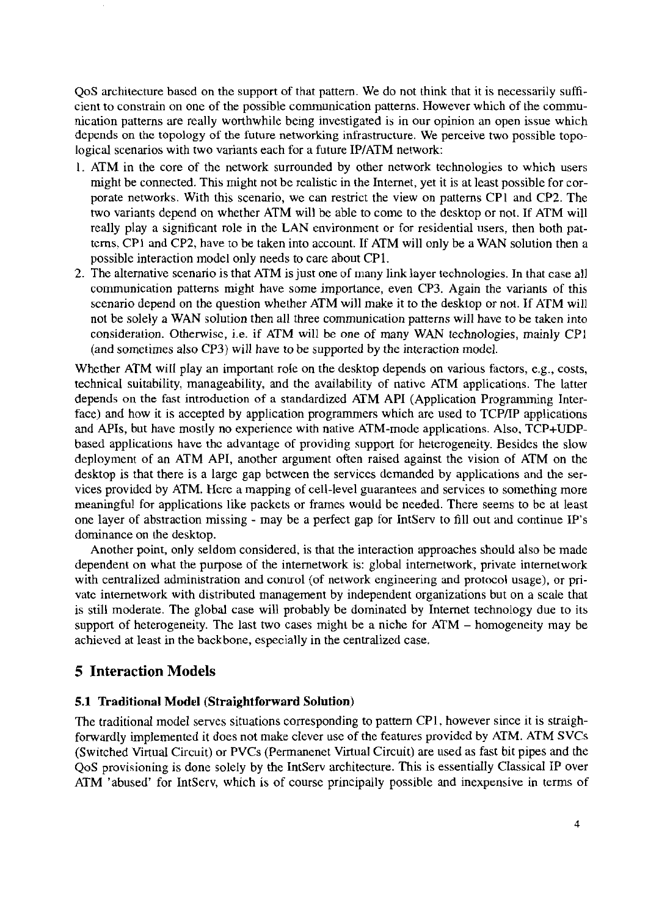QoS architecture bascd on the support of that pattem. We do not think that it is necessarily sufficient to constrain on one of the possible communication pattems. However which of the communication patterns are really worthwhile being investigated is in our opinion an open issue which depends on the topology of the future networking infrastructure. We perceive two possible topological scenarios with two variants each for a future IP/ATM network:

- 1. ATM in the core of the network surrounded by other network technologies to which users might be connected. This might not bc rcalistic in the Intemet, yet it is at least possible for corporate networks. With this scenario, we can restrict the view on patterns CPl and CP2. The two variants depend on whether ATM will be able to come to the desktop or not. If ATM will really play a significant role in the LAN environment or for residential users, then both pattcms. CPl and CP2, have to be taken into account. If ATM will only be a WAN solution then a possible interaction model only needs to care about CPl.
- 2. The alternative scenario is that ATM is just one of niany link layer technologies. In that case all communication patterns might have some importance, even CP3. Again the variants of this scenario depend on the question whether ATM will make it to the desktop or not. If ATM will not be solely a WAN solution then all three communication patterns will have tobe taken into consideration. Otherwise, i.e. if ATM will be one of many WAN technologies, mainly CP1 (and sometimes also CP3) will have tobe supported by the interaction model.

Whether ATM will play an important role on the desktop depends on various factors, e.g., costs, technical suitability, manageability, and the availability of nativc ATM applications. The latter depends on the fast introduction of a standardized ATM API (Application Programming Interface) and how it is accepted by application programmers which are used to TCP/IP applications and APIs, but have mostly no experience with native ATM-mode applications. Also, TCP+UDPbased applications have thc advantage of providing support for heterogeneity. Besides the slow deployment of an ATM API, another argument often raised against the vision of ATM on the desktop is that there is a large gap between the services demanded by applications and the services provided by ATM. Here a mapping of cell-level guarantees and services to something more meaningful for applications like packets or frames would be needed. There seems to be at least one layer of abstraction missing - may be a perfect gap for IntSew to fill out and continue IP's dominance on the desktop.

Another point, only seldom considered, is that the interaction approaches should also be made dependent on what the purpose of the intemetwork is: global intemetwork, private internetwork with centralized administration and control (of network engineering and protocol usage), or privatc internetwork with distributed management by independent organizations but on a scale that is still moderate. The global case will probably be dominated by Intemet technology due to its support of heterogeneity. The last two cases might be a niche for  $ATM -$  homogeneity may be achieved at least in the backbone, especially in the centralized case.

## **5 Interaction Models**

#### 5.1 Traditional Model (Straightforward Solution)

The traditional model serves situations corresponding to pattern CP1, however since it is straighforwardly implemented it does not make clever use of the features providcd by ATM. ATM SVCs (Switched Virtual Circuit) or PVCs (Permanenet Virtual Circuit) are used as fast bit pipes and the QoS provisioning is done solely by the IntServ architecture. This is essentially Classical IP over ATM 'abused' for IntServ, which is of Course principally possible and inexpensive in terms of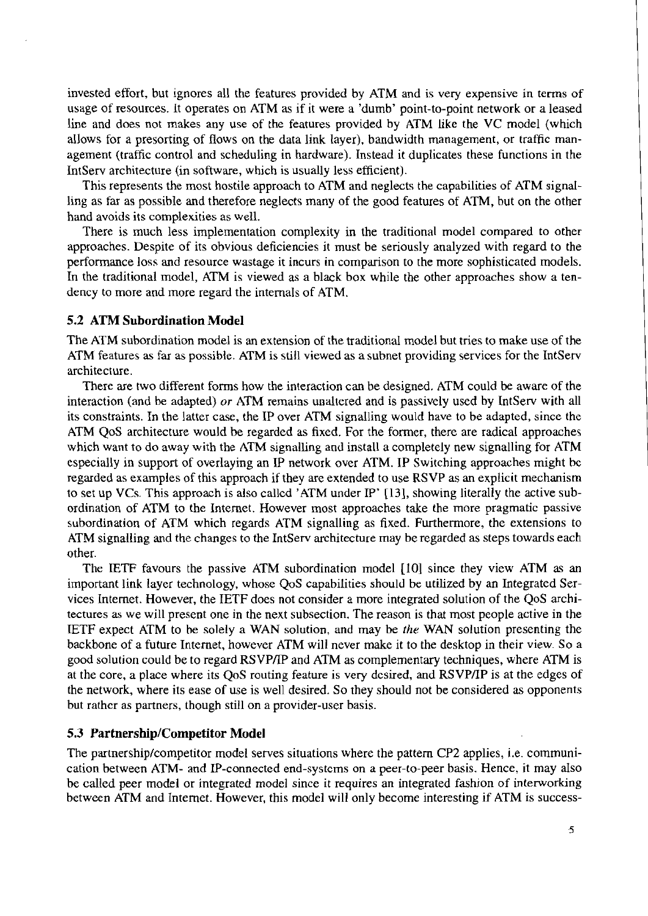invested effort, but ignores all the features provided by ATM and is very expensive in tems of usage of resources. lt operates on ATM as if it were a 'dumb' point-to-point network or a leased line and does not makes any use of the features provided by ATM like the VC model (which allows for a presorting of flows on the data link layer). bandwidth management, or traffic management (traffic control and scheduling in hardware). Instead it duplicates these functions in the IntServ architecture (in software, which is usually less efficient).

This represents the most hostile approach to ATM and neglects the capabilities of ATM signalling as far as possible and therefore neglects many of the good features of ATM, but on the other hand avoids its complexities as well.

There is much less implementation complexity in the traditional model compared to other approaches. Despite of its obvious deficiencies it must be seriously analyzed with regard to the performance loss and resource wastage it incurs in comparison to the more sophisticated models. In the traditional model, ATM is viewed as a black box while the other approaches show a tendency to more and more regard the internals of ATM.

#### **5.2 ATM Subordination Model**

The ATM subordination model is an extension of the traditional model but tries to make use of the ATM features as far as possible. ATM is still viewed as a subnet providing services for the IntServ architecture.

There are two different forms how the interaction can be designed. ATM could be aware of the interaction (and **be** adapted) *or* ATM remains unaltered and is passively used by IntSew with all its constraints. In the latter case, the IP over ATM signalling would have to be adapted, since the ATM QoS architecture would be regarded as fixed. For the former, there are radical approaches which want to do away with the ATM signalling and install a completely new signalling for ATM especially in support of overlaying an IP network over ATM. IP Switching approaches might bc regarded as examples of this approach if they are extended to use RSVP as an explicit mechanism to set up **VCs.** This approach is also callcd 'ATM under IP' [13], showing literally the active subordination of ATM to the Internet. However most approaches take the more pragmatic passive subordination of ATM which regards ATM signalling as fixed. Furthemore, the extensions to ATM signalling and the changes to the IntServ architecture may be regarded as steps towards each other.

The IETF favours the passive ATM subordination model [I01 since they view ATM **as** an important link layer technology, whose QoS capabilities should be utilized by an Integrated Services Internet. However, the IETF does not consider a more integrated solution of the QoS architectures **as** we will present one in the next subsection. The reason is that most people active in the IETF expect ATM to he solely a WAN solution, and may be *the* **WAN** solution presenting the backbone of a future Internet, however ATM will never make it to the desktop in their view. So a good solution could be to regard RSVPlIP and ATM as complementary techniques, where ATM is at the core, a place where its QoS routing feature is very dcsired, **and** RSVPIIP is at the edges of the network, where its ease of use is well desired. So they should not be considered as opponents but rather as partners, though still on a provider-user basis.

#### **5.3 Partnership/Competitor Model**

The partnership/competitor model serves situations where the pattern CP2 applies, i.e. communication between ATM- and IP-connected end-systcms on a peer-to-peer basis. Hence, it may also be called peer model or integrated model since it requires an integrated fashion of interworking between ATM and Intemet. However, this model will only become interesting if ATM is success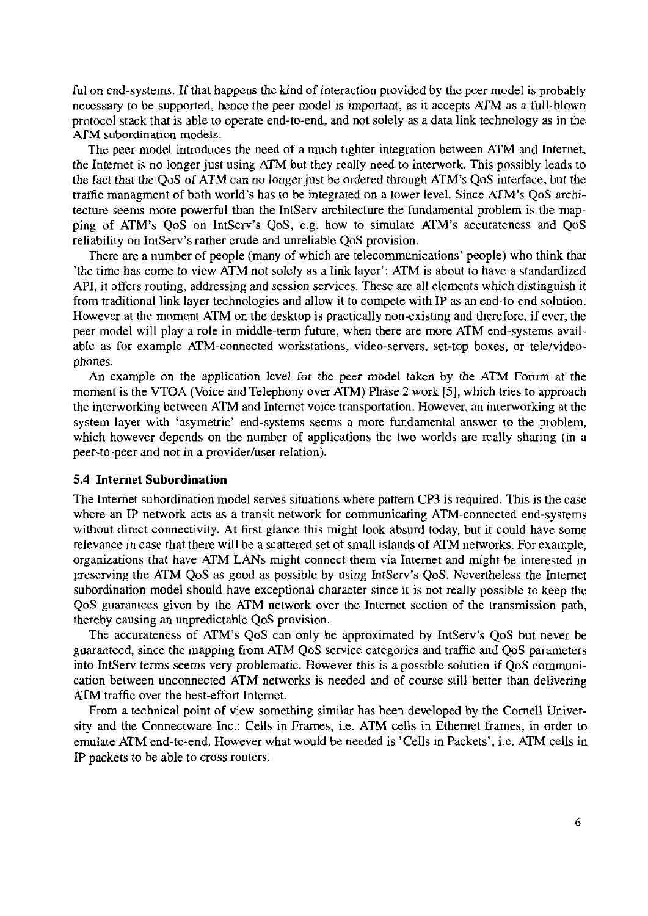ful on end-systems. If that happens the kind of interaction provided by the peer model is probably necessay to be supported, hence the peer model is important, as it accepts ATM as a full-blown protocol stack that is able to operate end-to-end, and not solely as a data link technology as in the ATM subordination models.

The peer model introduces the need of a much tighter integration between ATM and Intemet, the Intemet is no longer just using ATM but they really need to interwork. This possibly leads to the fact that the OoS of ATM can no longer just be ordered through ATM's OoS interface, but the traffic managment of both world's has 10 be integrated on a lower level. Since ATM's QoS architecture seems more powerful than the IntServ architecture the fundamental problem is the mapping of ATM's QoS on IntServ's QoS, e.g. how to simulate ATM's accurateness and QoS reliability on IntServ's rather crude and unreliable QoS provision.

There are a number of people (many of which are telecommunicaiions' people) who think that 'the time has come to view ATM not solely as a link layer': ATM is aboui to have a standardized API, it offers routing, addressing and session services. These are all elements which distinguish it from traditional link layer technologies and allow it to compete with IP **as** an end-to-end solution. However at the moment ATM on the desktop is practically non-existing and therefore, if ever, the peer model will play a role in middle-term future, when there are more ATM end-systems available as for example ATM-connected workstations, video-servers, set-top boxes, or tele/videophones.

An example on the application level for the peer model taken by the ATM Forum at the moment is the VTOA (Voice and Telephony over ATM) Phase **2** work **[5],** which tries to approach the interworking between ATM and Intemet voice transportation. However, an interworking at the system layer with 'asymetric' end-systems seems a more fundamental answer to the problem. which however depends on the number of applications the two worlds are really sharing (in a peer-to-peer and not in a provider/user relation).

#### **5.4 Internet Subordination**

The Internet subordination model serves situations where pattern CP3 is required. This is the case where an IP network acts as a transit network for communicating ATM-connected end-systems without direct connectivity. At first glance this might look absurd today, but it could have some relevance in case that there will be a scattered set of small islands of ATM networks. For example, organizations that have ATM **LANs** might connect them via Intemet and might be interested in preserving the ATM QoS as good as possible by using IntServ's QoS. Nevertheless the Intemet subordination model should have exceptional character since it is not really possible to keep the QoS guarantees given by the ATM network over the Internet section of the transmission path, thereby causing an unpredictable QoS provision.

The accuratencss of ATM's QoS can only be approximated by IntServ's QoS but never be guaranteed, since the mapping from ATM QoS service categories and traffic and QoS Parameters into IntServ terms seems very problematic. Howevcr this is a possible solution if QoS communication between unconnected ATM networks is needed and of Course siill better than delivering ATM traffic over the best-effort Internet.

From a technical point of view something similar has been developed by the Comell University and the Connectware Inc.: Cells in Frarnes, i.e. ATM cells in Ethernet frames, in order to emulate ATM end-to-end. However what would be needed is 'Cells in Packets', i.e. ATM cells in IP packets to be able to cross routers.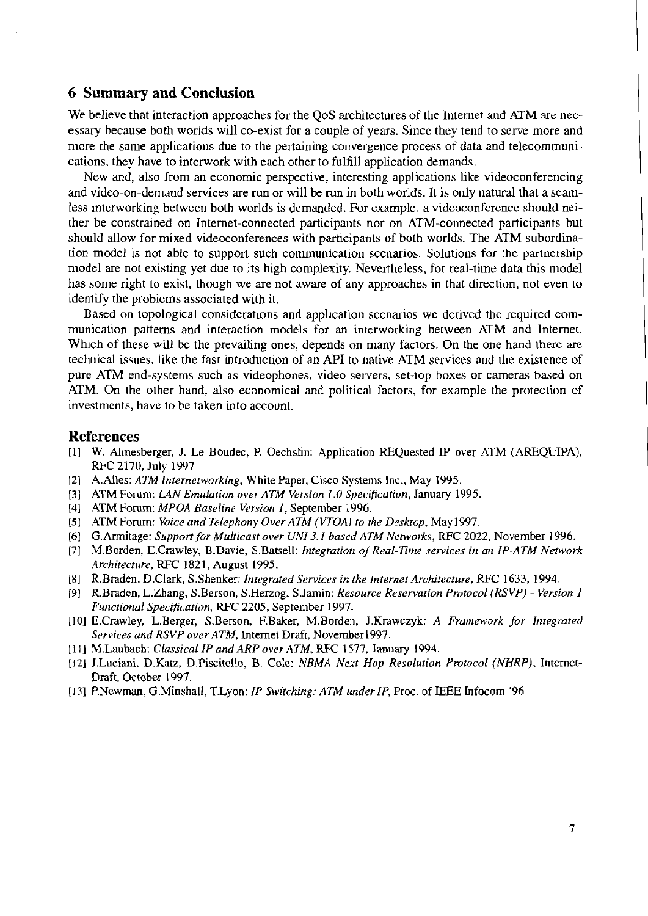### **6 Summary and Conclusion**

We believe that interaction approaches for the QoS architectures of the Internet and ATM are necessary because both worlds will co-exist for a couple of years. Since they tend to serve more and more the Same applications due to the pertaining convergence process of data and telecommunications. they have to interwork with each other to fulfill application demands.

New and, also from an economic perspective, interesting applications like videoconferencing and video-on-demand services are run or will be run in both worlds. It is only natural that a seamless interworking hetween both worlds is demanded. For example, a videoconference should neither be constrained on Internet-connected participants nor on ATM-connected participants hut should allow for mixed videoconferences with participants of both worlds. The ATM subordination model is not ahle to support such communication scenarios. Solutions for the partnership model are not existing yet due to its high complexity. Nevertheless, for real-time data this model has some right to exist, though we are not aware of any approaches in that direction, not even to identify the prohlems associated with it.

Based on topological considerations and application scenarios we derived the required communication patterns and interaction models for an interworking between ATM and Internet. Which of these will be the prevailing ones, depends on many factors. On the one hand there are technical issues, like the fast introduction of an API to native ATM services and the existence of pure ATM end-systems such as videophones, video-servers, set-top boxes or cameras hased on ATM. On the other hand, also economical and politicai factors, for example the protection of investments, have to be taken into account.

#### **References**

- [I] W. Alinesberger, J. Le Boudec, P. Oechslin: Application REQuested IP over ATM (AREQLTPA), RFC 2170, July 1997
- 121 A.Alles: *ATM lniernehvorking,* White Paper, Cisco Systems Inc., May 1995.
- 131 ATM Forum: *LAN Emulation over ATM Version 1.0 Specrficaiion,* January 1995.
- **(41** ATM Forum: *MPOA Baseline Version I,* September 1996.
- **151** ATM Fomm: *Voice und Telephony Over ATM (VTOA) to the Desktop,* May 1997.
- **(61** G.Armitage: *Support for Multicast over UNI 3.1 based ATM Networks,* RFC 2022, November 1996.
- [7] M.Borden, E.Crawley, B.Davie, S.Batsell: *Integration of Real-Time services in an IP-ATM Network Architecture,* **RFC** 1821, August 1995.
- **[8]** R.Braden, D.Clark, S.Shenker: *Integrated Services in ihe lnternet Architecture,* RFC 1633, 1994.
- (91 R.Braden. L.Zhang, S.Berson, S.Herzog, S.Jamin: *Resource Reservation Protocol (RSVP) Version I Functional Specijicatinn,* **RFC** 2205, September 1997.
- [I01 E.Crawley, L.Berger, S.Berson, F.Baker, M.Borden, J.Krawczyk: *A Framework for Integrated Services und RSVP over ATM,* Intemet Draft, Novemberl997.
- [11] M.Laubach: *Classical IP and ARP over ATM*, RFC 1577, January 1994.
- **1121** J.Luciani, D.Katz, D.Piscitel10, B. Cole: *NBMA Next Hop Resolution Pmtocol (NHRP),* Intemet-Draft, October 1997.
- [I31 PNewman, G.Minshal1, T.Lyon: *IP Swlitching: ATM under IP,* Proc. of IEEE Infocom '96.